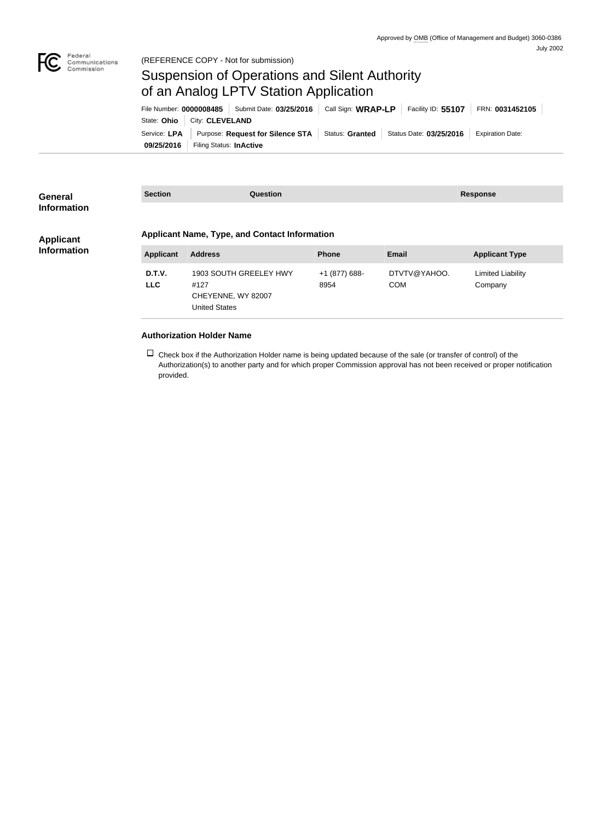

(REFERENCE COPY - Not for submission)

## Suspension of Operations and Silent Authority of an Analog LPTV Station Application

|            |                               | File Number: 0000008485   Submit Date: 03/25/2016   Call Sign: WRAP-LP                                         |  |  |  | Facility ID: 55107 FRN: 0031452105 |
|------------|-------------------------------|----------------------------------------------------------------------------------------------------------------|--|--|--|------------------------------------|
|            | State: Ohio   City: CLEVELAND |                                                                                                                |  |  |  |                                    |
|            |                               | Service: LPA   Purpose: Request for Silence STA   Status: Granted   Status Date: 03/25/2016   Expiration Date: |  |  |  |                                    |
| 09/25/2016 | Filing Status: InActive       |                                                                                                                |  |  |  |                                    |

| General<br><b>Information</b>          | <b>Section</b>   | <b>Question</b>                                                      |               |              | <b>Response</b>                       |  |  |
|----------------------------------------|------------------|----------------------------------------------------------------------|---------------|--------------|---------------------------------------|--|--|
| <b>Applicant</b><br><b>Information</b> | <b>Applicant</b> | <b>Applicant Name, Type, and Contact Information</b><br><b>Phone</b> |               |              | <b>Email</b><br><b>Applicant Type</b> |  |  |
|                                        |                  | <b>Address</b>                                                       |               |              |                                       |  |  |
|                                        | D.T.V.           | 1903 SOUTH GREELEY HWY                                               | +1 (877) 688- | DTVTV@YAHOO. | Limited Liability                     |  |  |
|                                        | <b>LLC</b>       | #127                                                                 | 8954          | <b>COM</b>   | Company                               |  |  |
|                                        |                  | CHEYENNE, WY 82007                                                   |               |              |                                       |  |  |

## **Authorization Holder Name**

United States

 $\Box$  Check box if the Authorization Holder name is being updated because of the sale (or transfer of control) of the Authorization(s) to another party and for which proper Commission approval has not been received or proper notification provided.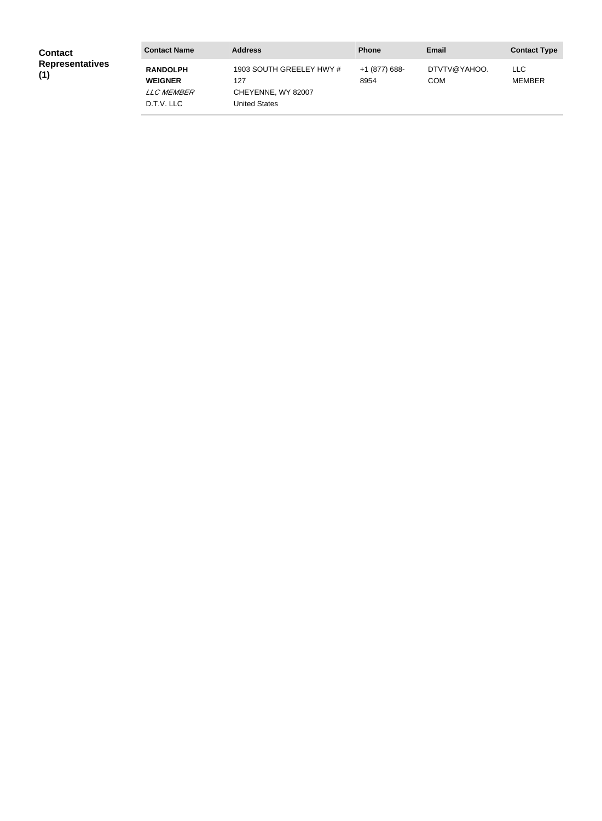| <b>Contact</b>                | <b>Contact Name</b>                                                  | <b>Address</b>                                                         | <b>Phone</b>          | <b>Email</b>               | <b>Contact Type</b>   |
|-------------------------------|----------------------------------------------------------------------|------------------------------------------------------------------------|-----------------------|----------------------------|-----------------------|
| <b>Representatives</b><br>(1) | <b>RANDOLPH</b><br><b>WEIGNER</b><br><i>LLC MEMBER</i><br>D.T.V. LLC | 1903 SOUTH GREELEY HWY #<br>127<br>CHEYENNE, WY 82007<br>United States | +1 (877) 688-<br>8954 | DTVTV@YAHOO.<br><b>COM</b> | LLC.<br><b>MEMBER</b> |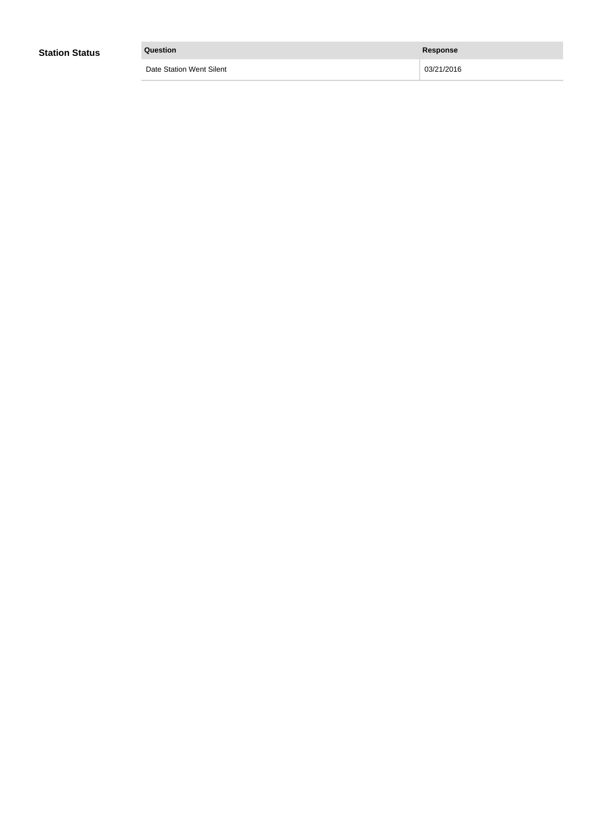| <b>Station Status</b> | Question                 | Response   |
|-----------------------|--------------------------|------------|
|                       | Date Station Went Silent | 03/21/2016 |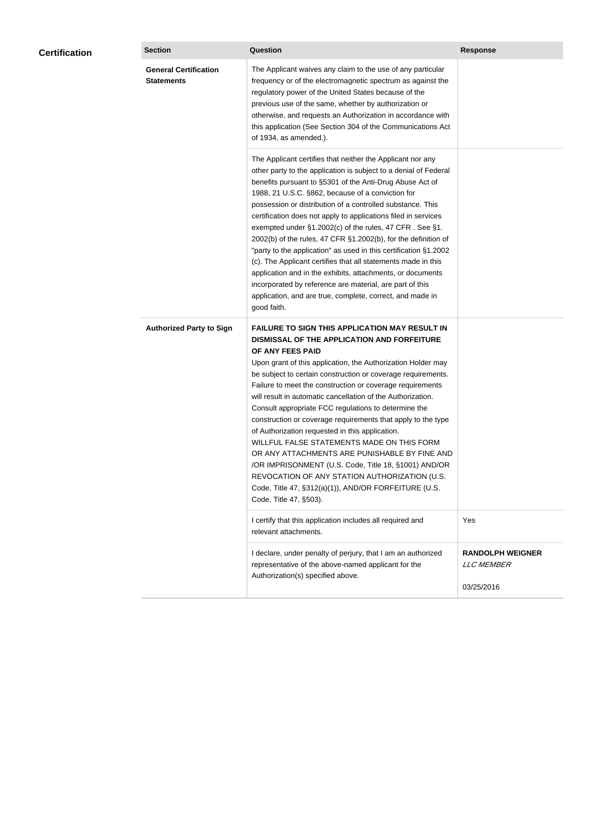| <b>Certification</b> | <b>Section</b>                                    | <b>Question</b>                                                                                                                                                                                                                                                                                                                                                                                                                                                                                                                                                                                                                                                                                                                                                                                                                                           | <b>Response</b>                                            |
|----------------------|---------------------------------------------------|-----------------------------------------------------------------------------------------------------------------------------------------------------------------------------------------------------------------------------------------------------------------------------------------------------------------------------------------------------------------------------------------------------------------------------------------------------------------------------------------------------------------------------------------------------------------------------------------------------------------------------------------------------------------------------------------------------------------------------------------------------------------------------------------------------------------------------------------------------------|------------------------------------------------------------|
|                      | <b>General Certification</b><br><b>Statements</b> | The Applicant waives any claim to the use of any particular<br>frequency or of the electromagnetic spectrum as against the<br>regulatory power of the United States because of the<br>previous use of the same, whether by authorization or<br>otherwise, and requests an Authorization in accordance with<br>this application (See Section 304 of the Communications Act<br>of 1934, as amended.).                                                                                                                                                                                                                                                                                                                                                                                                                                                       |                                                            |
|                      |                                                   | The Applicant certifies that neither the Applicant nor any<br>other party to the application is subject to a denial of Federal<br>benefits pursuant to §5301 of the Anti-Drug Abuse Act of<br>1988, 21 U.S.C. §862, because of a conviction for<br>possession or distribution of a controlled substance. This<br>certification does not apply to applications filed in services<br>exempted under §1.2002(c) of the rules, 47 CFR. See §1.<br>2002(b) of the rules, 47 CFR §1.2002(b), for the definition of<br>"party to the application" as used in this certification §1.2002<br>(c). The Applicant certifies that all statements made in this<br>application and in the exhibits, attachments, or documents<br>incorporated by reference are material, are part of this<br>application, and are true, complete, correct, and made in<br>good faith.   |                                                            |
|                      | <b>Authorized Party to Sign</b>                   | <b>FAILURE TO SIGN THIS APPLICATION MAY RESULT IN</b><br>DISMISSAL OF THE APPLICATION AND FORFEITURE<br>OF ANY FEES PAID<br>Upon grant of this application, the Authorization Holder may<br>be subject to certain construction or coverage requirements.<br>Failure to meet the construction or coverage requirements<br>will result in automatic cancellation of the Authorization.<br>Consult appropriate FCC regulations to determine the<br>construction or coverage requirements that apply to the type<br>of Authorization requested in this application.<br>WILLFUL FALSE STATEMENTS MADE ON THIS FORM<br>OR ANY ATTACHMENTS ARE PUNISHABLE BY FINE AND<br>/OR IMPRISONMENT (U.S. Code, Title 18, §1001) AND/OR<br>REVOCATION OF ANY STATION AUTHORIZATION (U.S.<br>Code, Title 47, §312(a)(1)), AND/OR FORFEITURE (U.S.<br>Code, Title 47, §503). |                                                            |
|                      |                                                   | I certify that this application includes all required and<br>relevant attachments.                                                                                                                                                                                                                                                                                                                                                                                                                                                                                                                                                                                                                                                                                                                                                                        | Yes                                                        |
|                      |                                                   | I declare, under penalty of perjury, that I am an authorized<br>representative of the above-named applicant for the<br>Authorization(s) specified above.                                                                                                                                                                                                                                                                                                                                                                                                                                                                                                                                                                                                                                                                                                  | <b>RANDOLPH WEIGNER</b><br><b>LLC MEMBER</b><br>03/25/2016 |